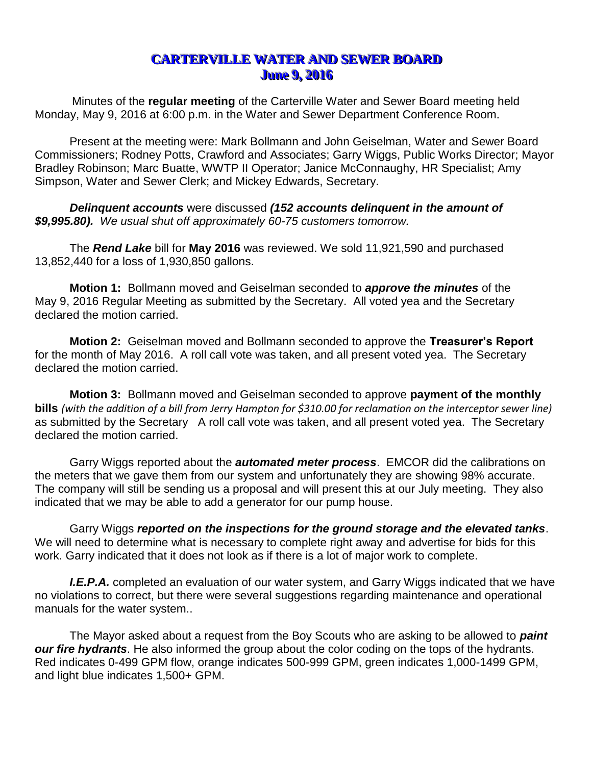## **CARTERVILLE WATER AND SEWER BOARD June 9, 2016**

Minutes of the **regular meeting** of the Carterville Water and Sewer Board meeting held Monday, May 9, 2016 at 6:00 p.m. in the Water and Sewer Department Conference Room.

Present at the meeting were: Mark Bollmann and John Geiselman, Water and Sewer Board Commissioners; Rodney Potts, Crawford and Associates; Garry Wiggs, Public Works Director; Mayor Bradley Robinson; Marc Buatte, WWTP II Operator; Janice McConnaughy, HR Specialist; Amy Simpson, Water and Sewer Clerk; and Mickey Edwards, Secretary.

*Delinquent accounts* were discussed *(152 accounts delinquent in the amount of \$9,995.80). We usual shut off approximately 60-75 customers tomorrow.* 

The *Rend Lake* bill for **May 2016** was reviewed. We sold 11,921,590 and purchased 13,852,440 for a loss of 1,930,850 gallons.

**Motion 1:** Bollmann moved and Geiselman seconded to *approve the minutes* of the May 9, 2016 Regular Meeting as submitted by the Secretary. All voted yea and the Secretary declared the motion carried.

**Motion 2:** Geiselman moved and Bollmann seconded to approve the **Treasurer's Report**  for the month of May 2016. A roll call vote was taken, and all present voted yea. The Secretary declared the motion carried.

**Motion 3:** Bollmann moved and Geiselman seconded to approve **payment of the monthly bills** *(with the addition of a bill from Jerry Hampton for \$310.00 for reclamation on the interceptor sewer line)*  as submitted by the Secretary A roll call vote was taken, and all present voted yea. The Secretary declared the motion carried.

Garry Wiggs reported about the *automated meter process*. EMCOR did the calibrations on the meters that we gave them from our system and unfortunately they are showing 98% accurate. The company will still be sending us a proposal and will present this at our July meeting. They also indicated that we may be able to add a generator for our pump house.

Garry Wiggs *reported on the inspections for the ground storage and the elevated tanks*. We will need to determine what is necessary to complete right away and advertise for bids for this work. Garry indicated that it does not look as if there is a lot of major work to complete.

**I.E.P.A.** completed an evaluation of our water system, and Garry Wiggs indicated that we have no violations to correct, but there were several suggestions regarding maintenance and operational manuals for the water system..

The Mayor asked about a request from the Boy Scouts who are asking to be allowed to *paint our fire hydrants*. He also informed the group about the color coding on the tops of the hydrants. Red indicates 0-499 GPM flow, orange indicates 500-999 GPM, green indicates 1,000-1499 GPM, and light blue indicates 1,500+ GPM.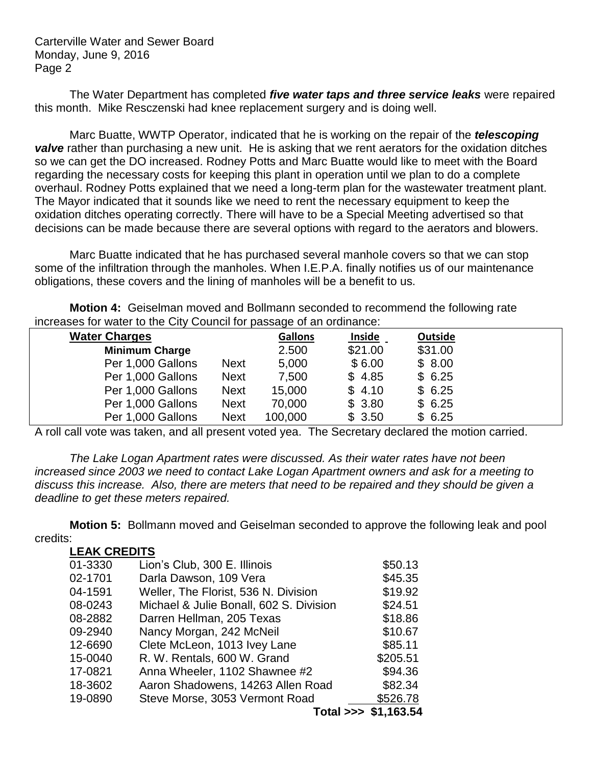Carterville Water and Sewer Board Monday, June 9, 2016 Page 2

The Water Department has completed *five water taps and three service leaks* were repaired this month. Mike Resczenski had knee replacement surgery and is doing well.

Marc Buatte, WWTP Operator, indicated that he is working on the repair of the *telescoping*  **valve** rather than purchasing a new unit. He is asking that we rent aerators for the oxidation ditches so we can get the DO increased. Rodney Potts and Marc Buatte would like to meet with the Board regarding the necessary costs for keeping this plant in operation until we plan to do a complete overhaul. Rodney Potts explained that we need a long-term plan for the wastewater treatment plant. The Mayor indicated that it sounds like we need to rent the necessary equipment to keep the oxidation ditches operating correctly. There will have to be a Special Meeting advertised so that decisions can be made because there are several options with regard to the aerators and blowers.

Marc Buatte indicated that he has purchased several manhole covers so that we can stop some of the infiltration through the manholes. When I.E.P.A. finally notifies us of our maintenance obligations, these covers and the lining of manholes will be a benefit to us.

**Motion 4:** Geiselman moved and Bollmann seconded to recommend the following rate increases for water to the City Council for passage of an ordinance:

| <b>Water Charges</b>  |             | <b>Gallons</b> | <b>Inside</b> | Outside |  |
|-----------------------|-------------|----------------|---------------|---------|--|
| <b>Minimum Charge</b> |             | 2.500          | \$21.00       | \$31.00 |  |
| Per 1,000 Gallons     | <b>Next</b> | 5,000          | \$6.00        | \$8.00  |  |
| Per 1,000 Gallons     | <b>Next</b> | 7,500          | \$4.85        | \$6.25  |  |
| Per 1,000 Gallons     | <b>Next</b> | 15,000         | \$4.10        | \$6.25  |  |
| Per 1,000 Gallons     | <b>Next</b> | 70,000         | \$3.80        | \$6.25  |  |
| Per 1,000 Gallons     | <b>Next</b> | 100,000        | \$3.50        | \$6.25  |  |

A roll call vote was taken, and all present voted yea. The Secretary declared the motion carried.

*The Lake Logan Apartment rates were discussed. As their water rates have not been increased since 2003 we need to contact Lake Logan Apartment owners and ask for a meeting to discuss this increase. Also, there are meters that need to be repaired and they should be given a deadline to get these meters repaired.*

**Motion 5:** Bollmann moved and Geiselman seconded to approve the following leak and pool credits:

| <b>LEAK CREDITS</b> |                                         |                      |
|---------------------|-----------------------------------------|----------------------|
| 01-3330             | Lion's Club, 300 E. Illinois            | \$50.13              |
| 02-1701             | Darla Dawson, 109 Vera                  | \$45.35              |
| 04-1591             | Weller, The Florist, 536 N. Division    | \$19.92              |
| 08-0243             | Michael & Julie Bonall, 602 S. Division | \$24.51              |
| 08-2882             | Darren Hellman, 205 Texas               | \$18.86              |
| 09-2940             | Nancy Morgan, 242 McNeil                | \$10.67              |
| 12-6690             | Clete McLeon, 1013 Ivey Lane            | \$85.11              |
| 15-0040             | R. W. Rentals, 600 W. Grand             | \$205.51             |
| 17-0821             | Anna Wheeler, 1102 Shawnee #2           | \$94.36              |
| 18-3602             | Aaron Shadowens, 14263 Allen Road       | \$82.34              |
| 19-0890             | Steve Morse, 3053 Vermont Road          | \$526.78             |
|                     |                                         | Total >>> \$1,163.54 |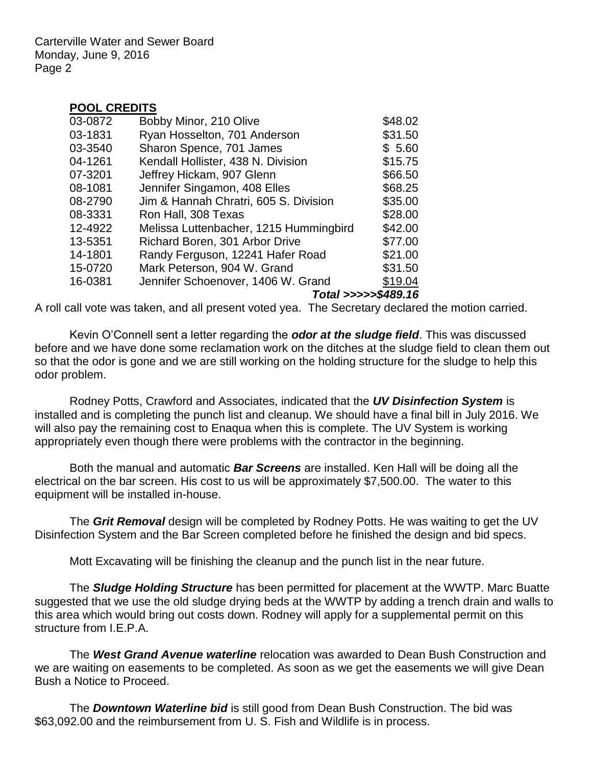Carterville Water and Sewer Board Monday, June 9, 2016 Page 2

## **POOL CREDITS**

| 03-0872 | Bobby Minor, 210 Olive                 | \$48.02             |
|---------|----------------------------------------|---------------------|
| 03-1831 | Ryan Hosselton, 701 Anderson           | \$31.50             |
| 03-3540 | Sharon Spence, 701 James               | \$5.60              |
| 04-1261 | Kendall Hollister, 438 N. Division     | \$15.75             |
| 07-3201 | Jeffrey Hickam, 907 Glenn              | \$66.50             |
| 08-1081 | Jennifer Singamon, 408 Elles           | \$68.25             |
| 08-2790 | Jim & Hannah Chratri, 605 S. Division  | \$35.00             |
| 08-3331 | Ron Hall, 308 Texas                    | \$28.00             |
| 12-4922 | Melissa Luttenbacher, 1215 Hummingbird | \$42.00             |
| 13-5351 | Richard Boren, 301 Arbor Drive         | \$77.00             |
| 14-1801 | Randy Ferguson, 12241 Hafer Road       | \$21.00             |
| 15-0720 | Mark Peterson, 904 W. Grand            | \$31.50             |
| 16-0381 | Jennifer Schoenover, 1406 W. Grand     | \$19.04             |
|         |                                        | Total >>>>>\$489.16 |

A roll call vote was taken, and all present voted yea. The Secretary declared the motion carried.

Kevin O'Connell sent a letter regarding the *odor at the sludge field*. This was discussed before and we have done some reclamation work on the ditches at the sludge field to clean them out so that the odor is gone and we are still working on the holding structure for the sludge to help this odor problem.

Rodney Potts, Crawford and Associates, indicated that the *UV Disinfection System* is installed and is completing the punch list and cleanup. We should have a final bill in July 2016. We will also pay the remaining cost to Enaqua when this is complete. The UV System is working appropriately even though there were problems with the contractor in the beginning.

Both the manual and automatic *Bar Screens* are installed. Ken Hall will be doing all the electrical on the bar screen. His cost to us will be approximately \$7,500.00. The water to this equipment will be installed in-house.

The *Grit Removal* design will be completed by Rodney Potts. He was waiting to get the UV Disinfection System and the Bar Screen completed before he finished the design and bid specs.

Mott Excavating will be finishing the cleanup and the punch list in the near future.

The *Sludge Holding Structure* has been permitted for placement at the WWTP. Marc Buatte suggested that we use the old sludge drying beds at the WWTP by adding a trench drain and walls to this area which would bring out costs down. Rodney will apply for a supplemental permit on this structure from I.E.P.A.

The *West Grand Avenue waterline* relocation was awarded to Dean Bush Construction and we are waiting on easements to be completed. As soon as we get the easements we will give Dean Bush a Notice to Proceed.

The *Downtown Waterline bid* is still good from Dean Bush Construction. The bid was \$63,092.00 and the reimbursement from U. S. Fish and Wildlife is in process.